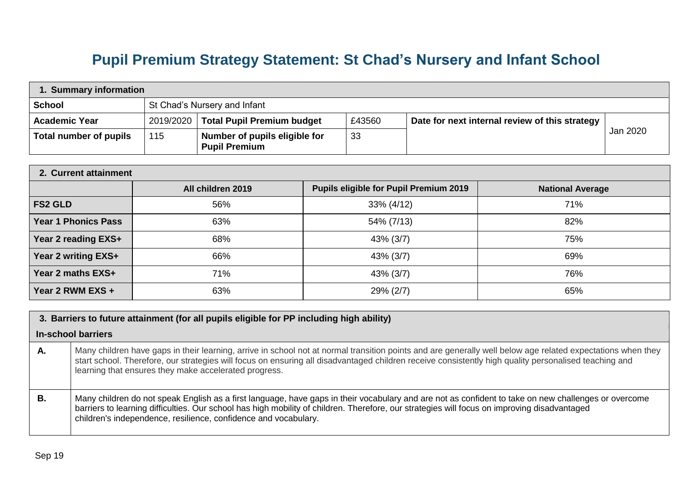## **Pupil Premium Strategy Statement: St Chad's Nursery and Infant School**

| 1. Summary information |                              |                                                       |        |                                                |          |
|------------------------|------------------------------|-------------------------------------------------------|--------|------------------------------------------------|----------|
| <b>School</b>          | St Chad's Nursery and Infant |                                                       |        |                                                |          |
| <b>Academic Year</b>   | 2019/2020                    | <b>Total Pupil Premium budget</b>                     | £43560 | Date for next internal review of this strategy |          |
| Total number of pupils | 115                          | Number of pupils eligible for<br><b>Pupil Premium</b> | 33     |                                                | Jan 2020 |

| 2. Current attainment      |                   |                                               |                         |  |
|----------------------------|-------------------|-----------------------------------------------|-------------------------|--|
|                            | All children 2019 | <b>Pupils eligible for Pupil Premium 2019</b> | <b>National Average</b> |  |
| <b>FS2 GLD</b>             | 56%               | 33% (4/12)                                    | 71%                     |  |
| <b>Year 1 Phonics Pass</b> | 63%               | 54% (7/13)                                    | 82%                     |  |
| Year 2 reading EXS+        | 68%               | 43% (3/7)                                     | 75%                     |  |
| Year 2 writing EXS+        | 66%               | 43% (3/7)                                     | 69%                     |  |
| Year 2 maths EXS+          | 71%               | 43% (3/7)                                     | 76%                     |  |
| Year 2 RWM EXS +           | 63%               | 29% (2/7)                                     | 65%                     |  |

## **3. Barriers to future attainment (for all pupils eligible for PP including high ability)**

## **In-school barriers**

- **A.** Many children have gaps in their learning, arrive in school not at normal transition points and are generally well below age related expectations when they start school. Therefore, our strategies will focus on ensuring all disadvantaged children receive consistently high quality personalised teaching and learning that ensures they make accelerated progress.
- **B.** | Many children do not speak English as a first language, have gaps in their vocabulary and are not as confident to take on new challenges or overcome barriers to learning difficulties. Our school has high mobility of children. Therefore, our strategies will focus on improving disadvantaged children's independence, resilience, confidence and vocabulary.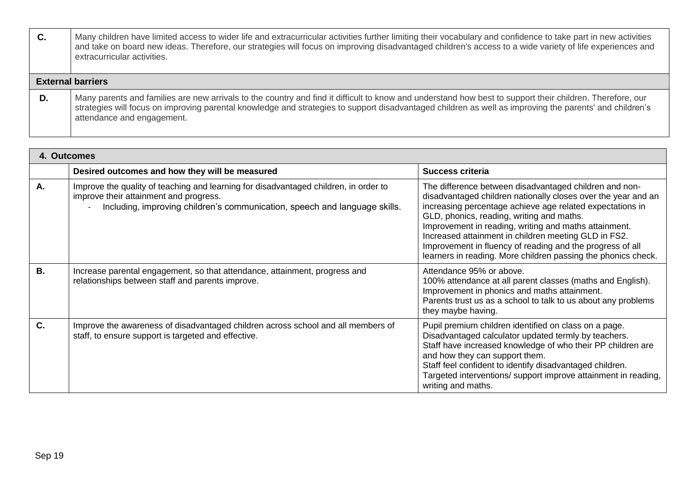| C. | Many children have limited access to wider life and extracurricular activities further limiting their vocabulary and confidence to take part in new activities<br>and take on board new ideas. Therefore, our strategies will focus on improving disadvantaged children's access to a wide variety of life experiences and<br>extracurricular activities. |
|----|-----------------------------------------------------------------------------------------------------------------------------------------------------------------------------------------------------------------------------------------------------------------------------------------------------------------------------------------------------------|
|    | <b>External barriers</b>                                                                                                                                                                                                                                                                                                                                  |
| D. | Many parents and families are new arrivals to the country and find it difficult to know and understand how best to support their children. Therefore, our<br>strategies will focus on improving parental knowledge and strategies to support disadvantaged children as well as improving the parents' and children's<br>attendance and engagement.        |

| 4. Outcomes |                                                                                                                                                                                                              |                                                                                                                                                                                                                                                                                                                                                                                                                                                                                  |
|-------------|--------------------------------------------------------------------------------------------------------------------------------------------------------------------------------------------------------------|----------------------------------------------------------------------------------------------------------------------------------------------------------------------------------------------------------------------------------------------------------------------------------------------------------------------------------------------------------------------------------------------------------------------------------------------------------------------------------|
|             | Desired outcomes and how they will be measured                                                                                                                                                               | <b>Success criteria</b>                                                                                                                                                                                                                                                                                                                                                                                                                                                          |
| A.          | Improve the quality of teaching and learning for disadvantaged children, in order to<br>improve their attainment and progress.<br>Including, improving children's communication, speech and language skills. | The difference between disadvantaged children and non-<br>disadvantaged children nationally closes over the year and an<br>increasing percentage achieve age related expectations in<br>GLD, phonics, reading, writing and maths.<br>Improvement in reading, writing and maths attainment.<br>Increased attainment in children meeting GLD in FS2.<br>Improvement in fluency of reading and the progress of all<br>learners in reading. More children passing the phonics check. |
| <b>B.</b>   | Increase parental engagement, so that attendance, attainment, progress and<br>relationships between staff and parents improve.                                                                               | Attendance 95% or above.<br>100% attendance at all parent classes (maths and English).<br>Improvement in phonics and maths attainment.<br>Parents trust us as a school to talk to us about any problems<br>they maybe having.                                                                                                                                                                                                                                                    |
| C.          | Improve the awareness of disadvantaged children across school and all members of<br>staff, to ensure support is targeted and effective.                                                                      | Pupil premium children identified on class on a page.<br>Disadvantaged calculator updated termly by teachers.<br>Staff have increased knowledge of who their PP children are<br>and how they can support them.<br>Staff feel confident to identify disadvantaged children.<br>Targeted interventions/ support improve attainment in reading,<br>writing and maths.                                                                                                               |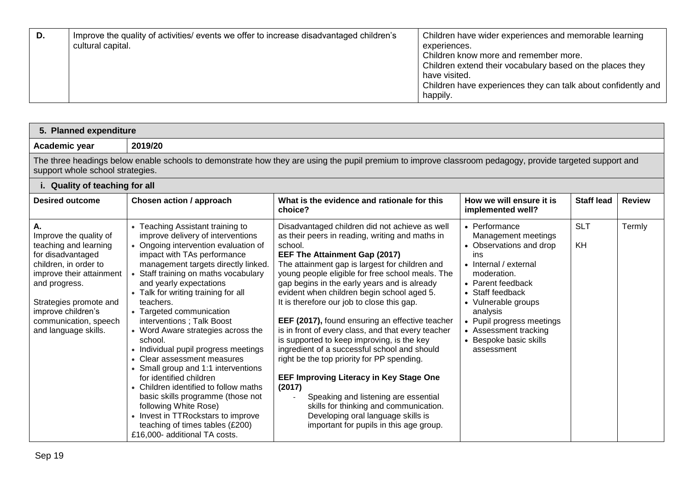| D. | Improve the quality of activities/ events we offer to increase disadvantaged children's<br>cultural capital. | Children have wider experiences and memorable learning<br>experiences.<br>Children know more and remember more.<br>Children extend their vocabulary based on the places they<br>have visited.<br>Children have experiences they can talk about confidently and<br>happily. |
|----|--------------------------------------------------------------------------------------------------------------|----------------------------------------------------------------------------------------------------------------------------------------------------------------------------------------------------------------------------------------------------------------------------|
|----|--------------------------------------------------------------------------------------------------------------|----------------------------------------------------------------------------------------------------------------------------------------------------------------------------------------------------------------------------------------------------------------------------|

| 5. Planned expenditure                                                                                                                                                                                                                            |                                                                                                                                                                                                                                                                                                                                                                                                                                                                                                                                                                                                                                                                                                                                                                              |                                                                                                                                                                                                                                                                                                                                                                                                                                                                                                                                                                                                                                                                                                                                                                                                                                                                                     |                                                                                                                                                                                                                                                                                          |                   |               |
|---------------------------------------------------------------------------------------------------------------------------------------------------------------------------------------------------------------------------------------------------|------------------------------------------------------------------------------------------------------------------------------------------------------------------------------------------------------------------------------------------------------------------------------------------------------------------------------------------------------------------------------------------------------------------------------------------------------------------------------------------------------------------------------------------------------------------------------------------------------------------------------------------------------------------------------------------------------------------------------------------------------------------------------|-------------------------------------------------------------------------------------------------------------------------------------------------------------------------------------------------------------------------------------------------------------------------------------------------------------------------------------------------------------------------------------------------------------------------------------------------------------------------------------------------------------------------------------------------------------------------------------------------------------------------------------------------------------------------------------------------------------------------------------------------------------------------------------------------------------------------------------------------------------------------------------|------------------------------------------------------------------------------------------------------------------------------------------------------------------------------------------------------------------------------------------------------------------------------------------|-------------------|---------------|
| Academic year                                                                                                                                                                                                                                     | 2019/20                                                                                                                                                                                                                                                                                                                                                                                                                                                                                                                                                                                                                                                                                                                                                                      |                                                                                                                                                                                                                                                                                                                                                                                                                                                                                                                                                                                                                                                                                                                                                                                                                                                                                     |                                                                                                                                                                                                                                                                                          |                   |               |
| support whole school strategies.                                                                                                                                                                                                                  |                                                                                                                                                                                                                                                                                                                                                                                                                                                                                                                                                                                                                                                                                                                                                                              | The three headings below enable schools to demonstrate how they are using the pupil premium to improve classroom pedagogy, provide targeted support and                                                                                                                                                                                                                                                                                                                                                                                                                                                                                                                                                                                                                                                                                                                             |                                                                                                                                                                                                                                                                                          |                   |               |
| i. Quality of teaching for all                                                                                                                                                                                                                    |                                                                                                                                                                                                                                                                                                                                                                                                                                                                                                                                                                                                                                                                                                                                                                              |                                                                                                                                                                                                                                                                                                                                                                                                                                                                                                                                                                                                                                                                                                                                                                                                                                                                                     |                                                                                                                                                                                                                                                                                          |                   |               |
| <b>Desired outcome</b>                                                                                                                                                                                                                            | Chosen action / approach                                                                                                                                                                                                                                                                                                                                                                                                                                                                                                                                                                                                                                                                                                                                                     | What is the evidence and rationale for this<br>choice?                                                                                                                                                                                                                                                                                                                                                                                                                                                                                                                                                                                                                                                                                                                                                                                                                              | How we will ensure it is<br>implemented well?                                                                                                                                                                                                                                            | <b>Staff lead</b> | <b>Review</b> |
| Α.<br>Improve the quality of<br>teaching and learning<br>for disadvantaged<br>children, in order to<br>improve their attainment<br>and progress.<br>Strategies promote and<br>improve children's<br>communication, speech<br>and language skills. | • Teaching Assistant training to<br>improve delivery of interventions<br>• Ongoing intervention evaluation of<br>impact with TAs performance<br>management targets directly linked.<br>Staff training on maths vocabulary<br>and yearly expectations<br>• Talk for writing training for all<br>teachers.<br>• Targeted communication<br>interventions; Talk Boost<br>• Word Aware strategies across the<br>school.<br>• Individual pupil progress meetings<br>• Clear assessment measures<br>• Small group and 1:1 interventions<br>for identified children<br>• Children identified to follow maths<br>basic skills programme (those not<br>following White Rose)<br>• Invest in TTRockstars to improve<br>teaching of times tables (£200)<br>£16,000- additional TA costs. | Disadvantaged children did not achieve as well<br>as their peers in reading, writing and maths in<br>school.<br>EEF The Attainment Gap (2017)<br>The attainment gap is largest for children and<br>young people eligible for free school meals. The<br>gap begins in the early years and is already<br>evident when children begin school aged 5.<br>It is therefore our job to close this gap.<br>EEF (2017), found ensuring an effective teacher<br>is in front of every class, and that every teacher<br>is supported to keep improving, is the key<br>ingredient of a successful school and should<br>right be the top priority for PP spending.<br><b>EEF Improving Literacy in Key Stage One</b><br>(2017)<br>Speaking and listening are essential<br>skills for thinking and communication.<br>Developing oral language skills is<br>important for pupils in this age group. | • Performance<br>Management meetings<br>• Observations and drop<br>ins<br>• Internal / external<br>moderation.<br>• Parent feedback<br>• Staff feedback<br>• Vulnerable groups<br>analysis<br>• Pupil progress meetings<br>• Assessment tracking<br>• Bespoke basic skills<br>assessment | <b>SLT</b><br>KH  | Termly        |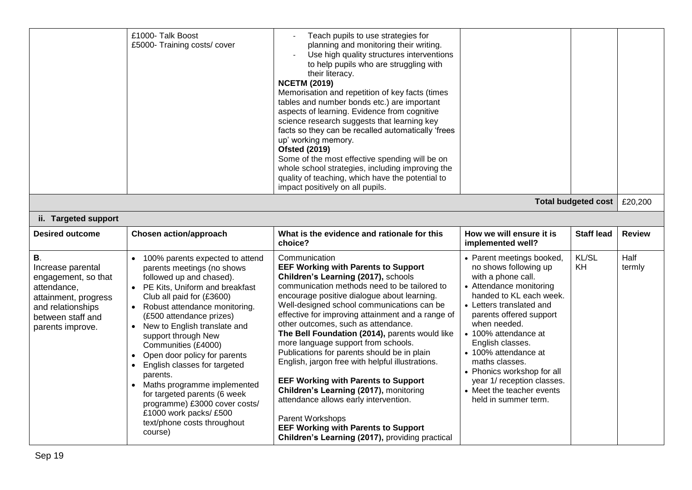|                                                                                                                   | £1000- Talk Boost<br>£5000- Training costs/cover                                                                                                                                                       | Teach pupils to use strategies for<br>planning and monitoring their writing.<br>Use high quality structures interventions<br>to help pupils who are struggling with<br>their literacy.<br><b>NCETM (2019)</b><br>Memorisation and repetition of key facts (times<br>tables and number bonds etc.) are important<br>aspects of learning. Evidence from cognitive<br>science research suggests that learning key<br>facts so they can be recalled automatically 'frees<br>up' working memory.<br><b>Ofsted (2019)</b><br>Some of the most effective spending will be on<br>whole school strategies, including improving the<br>quality of teaching, which have the potential to<br>impact positively on all pupils. |                                                                                                                                                            |                            |                |
|-------------------------------------------------------------------------------------------------------------------|--------------------------------------------------------------------------------------------------------------------------------------------------------------------------------------------------------|-------------------------------------------------------------------------------------------------------------------------------------------------------------------------------------------------------------------------------------------------------------------------------------------------------------------------------------------------------------------------------------------------------------------------------------------------------------------------------------------------------------------------------------------------------------------------------------------------------------------------------------------------------------------------------------------------------------------|------------------------------------------------------------------------------------------------------------------------------------------------------------|----------------------------|----------------|
|                                                                                                                   |                                                                                                                                                                                                        |                                                                                                                                                                                                                                                                                                                                                                                                                                                                                                                                                                                                                                                                                                                   |                                                                                                                                                            | <b>Total budgeted cost</b> | £20,200        |
| ii. Targeted support                                                                                              |                                                                                                                                                                                                        |                                                                                                                                                                                                                                                                                                                                                                                                                                                                                                                                                                                                                                                                                                                   |                                                                                                                                                            |                            |                |
| <b>Desired outcome</b>                                                                                            | <b>Chosen action/approach</b>                                                                                                                                                                          | What is the evidence and rationale for this<br>choice?                                                                                                                                                                                                                                                                                                                                                                                                                                                                                                                                                                                                                                                            | How we will ensure it is<br>implemented well?                                                                                                              | <b>Staff lead</b>          | <b>Review</b>  |
| <b>B.</b><br>Increase parental<br>engagement, so that<br>attendance,<br>attainment, progress<br>and relationships | 100% parents expected to attend<br>parents meetings (no shows<br>followed up and chased).<br>PE Kits, Uniform and breakfast<br>Club all paid for (£3600)<br>Robust attendance monitoring.<br>$\bullet$ | Communication<br><b>EEF Working with Parents to Support</b><br>Children's Learning (2017), schools<br>communication methods need to be tailored to<br>encourage positive dialogue about learning.<br>Well-designed school communications can be                                                                                                                                                                                                                                                                                                                                                                                                                                                                   | • Parent meetings booked,<br>no shows following up<br>with a phone call.<br>• Attendance monitoring<br>handed to KL each week.<br>• Letters translated and | KL/SL<br>KH                | Half<br>termly |

| attainment, progress<br>and relationships<br>between staff and<br>parents improve. | Club all paid for (£3600)<br>Robust attendance monitoring.<br>(£500 attendance prizes)<br>New to English translate and<br>support through New<br>Communities (£4000)<br>Open door policy for parents<br>English classes for targeted<br>parents.<br>Maths programme implemented<br>for targeted parents (6 week<br>programme) £3000 cover costs/<br>£1000 work packs/£500<br>text/phone costs throughout<br>course) | encourage positive dialogue about learning.<br>Well-designed school communications can be<br>effective for improving attainment and a range of<br>other outcomes, such as attendance.<br>The Bell Foundation (2014), parents would like<br>more language support from schools.<br>Publications for parents should be in plain<br>English, jargon free with helpful illustrations.<br><b>EEF Working with Parents to Support</b><br>Children's Learning (2017), monitoring<br>attendance allows early intervention.<br>Parent Workshops<br><b>EEF Working with Parents to Support</b><br>Children's Learning (2017), providing practical | handed to KL each week.<br>• Letters translated and<br>parents offered support<br>when needed.<br>• 100% attendance at<br>English classes.<br>• 100% attendance at<br>maths classes.<br>• Phonics workshop for all<br>year 1/ reception classes.<br>• Meet the teacher events<br>held in summer term. |  |
|------------------------------------------------------------------------------------|---------------------------------------------------------------------------------------------------------------------------------------------------------------------------------------------------------------------------------------------------------------------------------------------------------------------------------------------------------------------------------------------------------------------|-----------------------------------------------------------------------------------------------------------------------------------------------------------------------------------------------------------------------------------------------------------------------------------------------------------------------------------------------------------------------------------------------------------------------------------------------------------------------------------------------------------------------------------------------------------------------------------------------------------------------------------------|-------------------------------------------------------------------------------------------------------------------------------------------------------------------------------------------------------------------------------------------------------------------------------------------------------|--|
|------------------------------------------------------------------------------------|---------------------------------------------------------------------------------------------------------------------------------------------------------------------------------------------------------------------------------------------------------------------------------------------------------------------------------------------------------------------------------------------------------------------|-----------------------------------------------------------------------------------------------------------------------------------------------------------------------------------------------------------------------------------------------------------------------------------------------------------------------------------------------------------------------------------------------------------------------------------------------------------------------------------------------------------------------------------------------------------------------------------------------------------------------------------------|-------------------------------------------------------------------------------------------------------------------------------------------------------------------------------------------------------------------------------------------------------------------------------------------------------|--|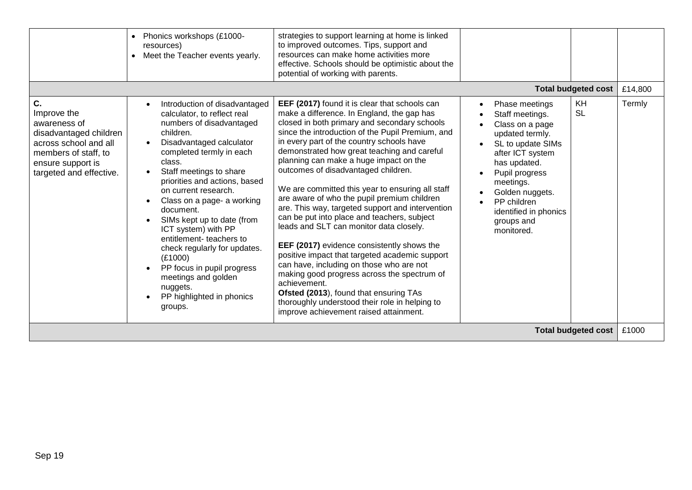|                                                                                                                                                              | Phonics workshops (£1000-<br>resources)<br>Meet the Teacher events yearly.                                                                                                                                                                                                                                                                                                                                                                                                                                                                 | strategies to support learning at home is linked<br>to improved outcomes. Tips, support and<br>resources can make home activities more<br>effective. Schools should be optimistic about the<br>potential of working with parents.                                                                                                                                                                                                                                                                                                                                                                                                                                                                                                                                                                                                                                                                                                                                              |                                                                                                                                                                                                                                                                                                         |                   |
|--------------------------------------------------------------------------------------------------------------------------------------------------------------|--------------------------------------------------------------------------------------------------------------------------------------------------------------------------------------------------------------------------------------------------------------------------------------------------------------------------------------------------------------------------------------------------------------------------------------------------------------------------------------------------------------------------------------------|--------------------------------------------------------------------------------------------------------------------------------------------------------------------------------------------------------------------------------------------------------------------------------------------------------------------------------------------------------------------------------------------------------------------------------------------------------------------------------------------------------------------------------------------------------------------------------------------------------------------------------------------------------------------------------------------------------------------------------------------------------------------------------------------------------------------------------------------------------------------------------------------------------------------------------------------------------------------------------|---------------------------------------------------------------------------------------------------------------------------------------------------------------------------------------------------------------------------------------------------------------------------------------------------------|-------------------|
| C.<br>Improve the<br>awareness of<br>disadvantaged children<br>across school and all<br>members of staff, to<br>ensure support is<br>targeted and effective. | Introduction of disadvantaged<br>calculator, to reflect real<br>numbers of disadvantaged<br>children.<br>Disadvantaged calculator<br>completed termly in each<br>class.<br>Staff meetings to share<br>priorities and actions, based<br>on current research.<br>Class on a page- a working<br>document.<br>SIMs kept up to date (from<br>ICT system) with PP<br>entitlement-teachers to<br>check regularly for updates.<br>(E1000)<br>PP focus in pupil progress<br>meetings and golden<br>nuggets.<br>PP highlighted in phonics<br>groups. | EEF (2017) found it is clear that schools can<br>make a difference. In England, the gap has<br>closed in both primary and secondary schools<br>since the introduction of the Pupil Premium, and<br>in every part of the country schools have<br>demonstrated how great teaching and careful<br>planning can make a huge impact on the<br>outcomes of disadvantaged children.<br>We are committed this year to ensuring all staff<br>are aware of who the pupil premium children<br>are. This way, targeted support and intervention<br>can be put into place and teachers, subject<br>leads and SLT can monitor data closely.<br>EEF (2017) evidence consistently shows the<br>positive impact that targeted academic support<br>can have, including on those who are not<br>making good progress across the spectrum of<br>achievement.<br>Ofsted (2013), found that ensuring TAs<br>thoroughly understood their role in helping to<br>improve achievement raised attainment. | <b>Total budgeted cost</b><br>KH<br>Phase meetings<br><b>SL</b><br>Staff meetings.<br>Class on a page<br>updated termly.<br>SL to update SIMs<br>after ICT system<br>has updated.<br>Pupil progress<br>meetings.<br>Golden nuggets.<br>PP children<br>identified in phonics<br>groups and<br>monitored. | £14,800<br>Termly |
| <b>Total budgeted cost</b><br>£1000                                                                                                                          |                                                                                                                                                                                                                                                                                                                                                                                                                                                                                                                                            |                                                                                                                                                                                                                                                                                                                                                                                                                                                                                                                                                                                                                                                                                                                                                                                                                                                                                                                                                                                |                                                                                                                                                                                                                                                                                                         |                   |